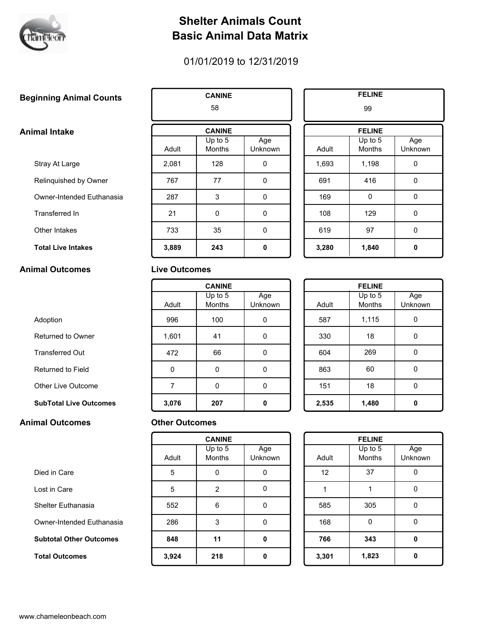

## **Shelter Animals Count Basic Animal Data Matrix**

## 01/01/2019 to 12/31/2019

# **CANINE COUNTS CANINE ELINE**

### **Animal Intake**

- Stray At Large
- Relinquished by Owner
- Owner-Intended Euthanasia
- Transferred In
- Other Intakes
- **Total Live Intakes 3,889 243 3,280 1,840**

Died in Care

Lost in Care

Shelter Euthanasia

 **Total Outcomes 3,924 218 3,301 1,823**

Owner-Intended Euthanasia

 **Subtotal Other Outcomes 848 11 766 343**

#### **Animal Outcomes Live Outcomes**

|       | 58                  |                |       | 99                |
|-------|---------------------|----------------|-------|-------------------|
|       | <b>CANINE</b>       |                |       | <b>FELINE</b>     |
| Adult | Up to $5$<br>Months | Age<br>Unknown | Adult | Up to 5<br>Months |
| 2,081 | 128                 | 0              | 1,693 | 1,198             |
| 767   | 77                  | 0              | 691   | 416               |
| 287   | 3                   | $\Omega$       | 169   | $\Omega$          |
| 21    | 0                   | 0              | 108   | 129               |
| 733   | 35                  | 0              | 619   | 97                |
| 3,889 | 243                 | 0              | 3,280 | 1,840             |

| 99    |                            |                |  |  |  |
|-------|----------------------------|----------------|--|--|--|
|       | <b>FELINE</b>              |                |  |  |  |
| Adult | Up to $5$<br><b>Months</b> | Age<br>Unknown |  |  |  |
| 1,693 | 1,198                      | 0              |  |  |  |
| 691   | 416                        | 0              |  |  |  |
| 169   | 0                          | 0              |  |  |  |
| 108   | 129                        | 0              |  |  |  |
| 619   | 97                         | 0              |  |  |  |
| 3,280 | 1,840                      | Λ              |  |  |  |

|                               | <b>CANINE</b> |                     |                |       | <b>FELINE</b>            |
|-------------------------------|---------------|---------------------|----------------|-------|--------------------------|
|                               | Adult         | Up to $5$<br>Months | Age<br>Unknown | Adult | Up to 5<br><b>Months</b> |
| Adoption                      | 996           | 100                 | 0              | 587   | 1,115                    |
| Returned to Owner             | 1,601         | 41                  | 0              | 330   | 18                       |
| <b>Transferred Out</b>        | 472           | 66                  | 0              | 604   | 269                      |
| Returned to Field             | $\mathbf 0$   | 0                   | 0              | 863   | 60                       |
| Other Live Outcome            | 7             | 0                   | 0              | 151   | 18                       |
| <b>SubTotal Live Outcomes</b> | 3,076         | 207                 | 0              | 2,535 | 1,480                    |

| <b>FELINE</b> |                          |                |  |  |  |
|---------------|--------------------------|----------------|--|--|--|
|               | Up to 5<br><b>Months</b> | Age<br>Unknown |  |  |  |
| Adult         |                          |                |  |  |  |
| 587           | 1,115                    | 0              |  |  |  |
| 330           | 18                       | N              |  |  |  |
| 604           | 269                      | N              |  |  |  |
| 863           | 60                       | ი              |  |  |  |
| 151           | 18                       | n              |  |  |  |
| 2,535         | 1,480                    |                |  |  |  |

#### **Animal Outcomes Other Outcomes**

| <b>CANINE</b> |                          |                | <b>FELINE</b> |                     |
|---------------|--------------------------|----------------|---------------|---------------------|
| Adult         | Up to 5<br><b>Months</b> | Age<br>Unknown | Adult         | Up to $5$<br>Months |
| 5             | 0                        | 0              | 12            | 37                  |
| 5             | $\overline{2}$           | 0              | 1             |                     |
| 552           | 6                        | 0              | 585           | 305                 |
| 286           | 3                        | 0              | 168           |                     |
| 848           | 11                       | 0              | 766           | 343                 |
| 3,924         | 218                      | 0              | 3,301         | 1,823               |

| <b>FELINE</b> |                          |                |  |  |  |
|---------------|--------------------------|----------------|--|--|--|
| Adult         | Up to 5<br><b>Months</b> | Age<br>Unknown |  |  |  |
| 12            | 37                       | N              |  |  |  |
| 1             |                          | n              |  |  |  |
| 585           | 305                      | n              |  |  |  |
| 168           | 0                        |                |  |  |  |
| 766           | 343                      | Λ              |  |  |  |
| 3,301         | 1,823                    |                |  |  |  |